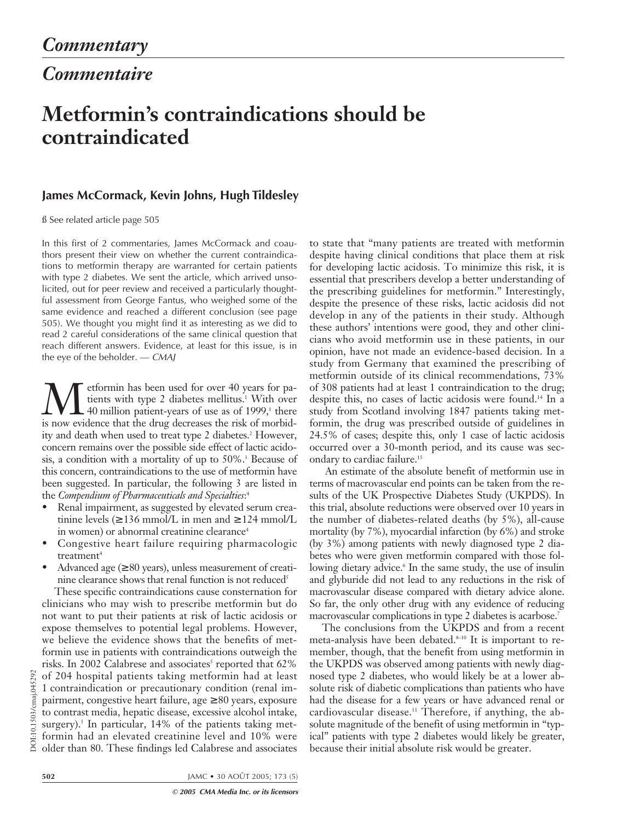*Commentaire*

## **Metformin's contraindications should be contraindicated**

## **James McCormack, Kevin Johns, Hugh Tildesley**

ß See related article page 505

In this first of 2 commentaries, James McCormack and coauthors present their view on whether the current contraindications to metformin therapy are warranted for certain patients with type 2 diabetes. We sent the article, which arrived unsolicited, out for peer review and received a particularly thoughtful assessment from George Fantus, who weighed some of the same evidence and reached a different conclusion (see page 505). We thought you might find it as interesting as we did to read 2 careful considerations of the same clinical question that reach different answers. Evidence, at least for this issue, is in the eye of the beholder.  $-$  CMAJ

Metformin has been used for over 40 years for pa-<br>tients with type 2 diabetes mellitus.<sup>1</sup> With over<br>40 million patient-years of use as of 1999,<sup>1</sup> there<br>is now evidence that the drug decreases the risk of morbidtients with type 2 diabetes mellitus.<sup>1</sup> With over 40 million patient-years of use as of 1999,<sup>1</sup> there is now evidence that the drug decreases the risk of morbidity and death when used to treat type 2 diabetes.<sup>2</sup> However, concern remains over the possible side effect of lactic acidosis, a condition with a mortality of up to 50%.<sup>3</sup> Because of this concern, contraindications to the use of metformin have been suggested. In particular, the following 3 are listed in the *Compendium of Pharmaceuticals and Specialties*: 4

- Renal impairment, as suggested by elevated serum creatinine levels ( $\geq$  136 mmol/L in men and  $\geq$  124 mmol/L in women) or abnormal creatinine clearance<sup>4</sup>
- Congestive heart failure requiring pharmacologic treatment<sup>4</sup>
- Advanced age  $(≥ 80 \text{ years})$ , unless measurement of creatinine clearance shows that renal function is not reduced<sup>5</sup>

These specific contraindications cause consternation for clinicians who may wish to prescribe metformin but do not want to put their patients at risk of lactic acidosis or expose themselves to potential legal problems. However, we believe the evidence shows that the benefits of metformin use in patients with contraindications outweigh the risks. In 2002 Calabrese and associates<sup>5</sup> reported that 62% of 204 hospital patients taking metformin had at least 1 contraindication or precautionary condition (renal impairment, congestive heart failure, age  $\geq 80$  years, exposure to contrast media, hepatic disease, excessive alcohol intake, surgery).<sup>5</sup> In particular, 14% of the patients taking metformin had an elevated creatinine level and 10% were older than 80. These findings led Calabrese and associates

to state that "many patients are treated with metformin despite having clinical conditions that place them at risk for developing lactic acidosis. To minimize this risk, it is essential that prescribers develop a better understanding of the prescribing guidelines for metformin." Interestingly, despite the presence of these risks, lactic acidosis did not develop in any of the patients in their study. Although these authors' intentions were good, they and other clinicians who avoid metformin use in these patients, in our opinion, have not made an evidence-based decision. In a study from Germany that examined the prescribing of metformin outside of its clinical recommendations, 73% of 308 patients had at least 1 contraindication to the drug; despite this, no cases of lactic acidosis were found.14 In a study from Scotland involving 1847 patients taking metformin, the drug was prescribed outside of guidelines in 24.5% of cases; despite this, only 1 case of lactic acidosis occurred over a 30-month period, and its cause was secondary to cardiac failure.15

An estimate of the absolute benefit of metformin use in terms of macrovascular end points can be taken from the results of the UK Prospective Diabetes Study (UKPDS). In this trial, absolute reductions were observed over 10 years in the number of diabetes-related deaths (by 5%), all-cause mortality (by 7%), myocardial infarction (by 6%) and stroke (by 3%) among patients with newly diagnosed type 2 diabetes who were given metformin compared with those following dietary advice.<sup>6</sup> In the same study, the use of insulin and glyburide did not lead to any reductions in the risk of macrovascular disease compared with dietary advice alone. So far, the only other drug with any evidence of reducing macrovascular complications in type 2 diabetes is acarbose.7

The conclusions from the UKPDS and from a recent meta-analysis have been debated.<sup>8-10</sup> It is important to remember, though, that the benefit from using metformin in the UKPDS was observed among patients with newly diagnosed type 2 diabetes, who would likely be at a lower absolute risk of diabetic complications than patients who have had the disease for a few years or have advanced renal or cardiovascular disease.<sup>11</sup> Therefore, if anything, the absolute magnitude of the benefit of using metformin in "typical" patients with type 2 diabetes would likely be greater, because their initial absolute risk would be greater.

**502** JAMC • 30 AOÛT 2005; 173 (5)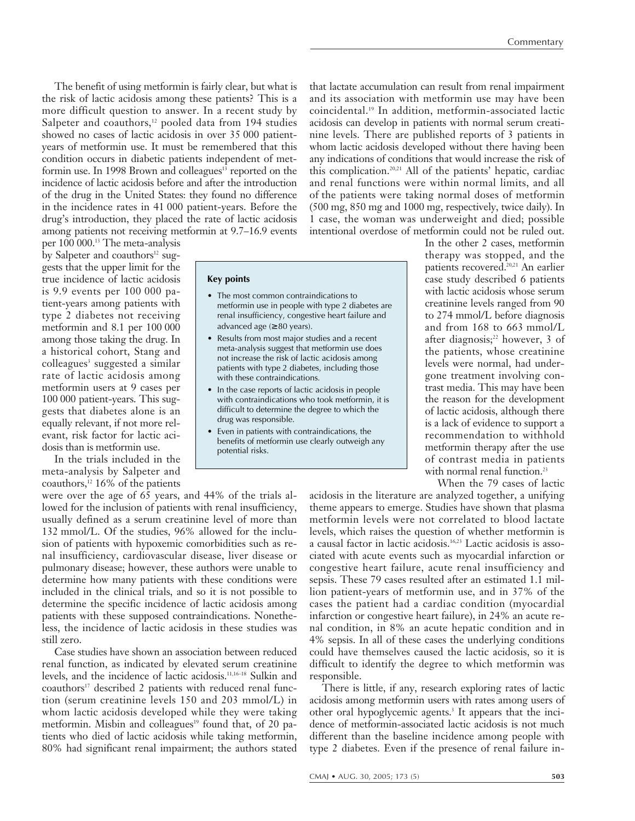The benefit of using metformin is fairly clear, but what is the risk of lactic acidosis among these patients? This is a more difficult question to answer. In a recent study by Salpeter and coauthors, $12$  pooled data from 194 studies showed no cases of lactic acidosis in over 35 000 patientyears of metformin use. It must be remembered that this condition occurs in diabetic patients independent of metformin use. In 1998 Brown and colleagues<sup>13</sup> reported on the incidence of lactic acidosis before and after the introduction of the drug in the United States: they found no difference in the incidence rates in 41 000 patient-years. Before the drug's introduction, they placed the rate of lactic acidosis among patients not receiving metformin at 9.7–16.9 events

per 100 000.13 The meta-analysis by Salpeter and coauthors<sup>12</sup> suggests that the upper limit for the true incidence of lactic acidosis is 9.9 events per 100 000 patient-years among patients with type 2 diabetes not receiving metformin and 8.1 per 100 000 among those taking the drug. In a historical cohort, Stang and colleagues<sup>3</sup> suggested a similar rate of lactic acidosis among metformin users at 9 cases per 100 000 patient-years. This suggests that diabetes alone is an equally relevant, if not more relevant, risk factor for lactic acidosis than is metformin use.

In the trials included in the meta-analysis by Salpeter and coauthors,<sup>12</sup> 16% of the patients **Key points**

- The most common contraindications to metformin use in people with type 2 diabetes are renal insufficiency, congestive heart failure and advanced age  $(≥ 80$  years).
- Results from most major studies and a recent meta-analysis suggest that metformin use does not increase the risk of lactic acidosis among patients with type 2 diabetes, including those with these contraindications.
- In the case reports of lactic acidosis in people with contraindications who took metformin, it is difficult to determine the degree to which the drug was responsible.
- Even in patients with contraindications, the benefits of metformin use clearly outweigh any potential risks.

that lactate accumulation can result from renal impairment and its association with metformin use may have been coincidental.19 In addition, metformin-associated lactic acidosis can develop in patients with normal serum creatinine levels. There are published reports of 3 patients in whom lactic acidosis developed without there having been any indications of conditions that would increase the risk of this complication.20,21 All of the patients' hepatic, cardiac and renal functions were within normal limits, and all of the patients were taking normal doses of metformin (500 mg, 850 mg and 1000 mg, respectively, twice daily). In 1 case, the woman was underweight and died; possible intentional overdose of metformin could not be ruled out.

> In the other 2 cases, metformin therapy was stopped, and the patients recovered.<sup>20,21</sup> An earlier case study described 6 patients with lactic acidosis whose serum creatinine levels ranged from 90 to 274 mmol/L before diagnosis and from 168 to 663 mmol/L after diagnosis; $22$  however, 3 of the patients, whose creatinine levels were normal, had undergone treatment involving contrast media. This may have been the reason for the development of lactic acidosis, although there is a lack of evidence to support a recommendation to withhold metformin therapy after the use of contrast media in patients with normal renal function.<sup>23</sup>

When the 79 cases of lactic

were over the age of 65 years, and 44% of the trials allowed for the inclusion of patients with renal insufficiency, usually defined as a serum creatinine level of more than 132 mmol/L. Of the studies, 96% allowed for the inclusion of patients with hypoxemic comorbidities such as renal insufficiency, cardiovascular disease, liver disease or pulmonary disease; however, these authors were unable to determine how many patients with these conditions were included in the clinical trials, and so it is not possible to determine the specific incidence of lactic acidosis among patients with these supposed contraindications. Nonetheless, the incidence of lactic acidosis in these studies was still zero.

Case studies have shown an association between reduced renal function, as indicated by elevated serum creatinine levels, and the incidence of lactic acidosis.11,16–18 Sulkin and coauthors<sup>17</sup> described 2 patients with reduced renal function (serum creatinine levels 150 and 203 mmol/L) in whom lactic acidosis developed while they were taking metformin. Misbin and colleagues<sup>19</sup> found that, of 20 patients who died of lactic acidosis while taking metformin, 80% had significant renal impairment; the authors stated acidosis in the literature are analyzed together, a unifying theme appears to emerge. Studies have shown that plasma metformin levels were not correlated to blood lactate levels, which raises the question of whether metformin is a causal factor in lactic acidosis.16,23 Lactic acidosis is associated with acute events such as myocardial infarction or congestive heart failure, acute renal insufficiency and sepsis. These 79 cases resulted after an estimated 1.1 million patient-years of metformin use, and in 37% of the cases the patient had a cardiac condition (myocardial infarction or congestive heart failure), in 24% an acute renal condition, in 8% an acute hepatic condition and in 4% sepsis. In all of these cases the underlying conditions could have themselves caused the lactic acidosis, so it is difficult to identify the degree to which metformin was responsible.

There is little, if any, research exploring rates of lactic acidosis among metformin users with rates among users of other oral hypoglycemic agents.<sup>3</sup> It appears that the incidence of metformin-associated lactic acidosis is not much different than the baseline incidence among people with type 2 diabetes. Even if the presence of renal failure in